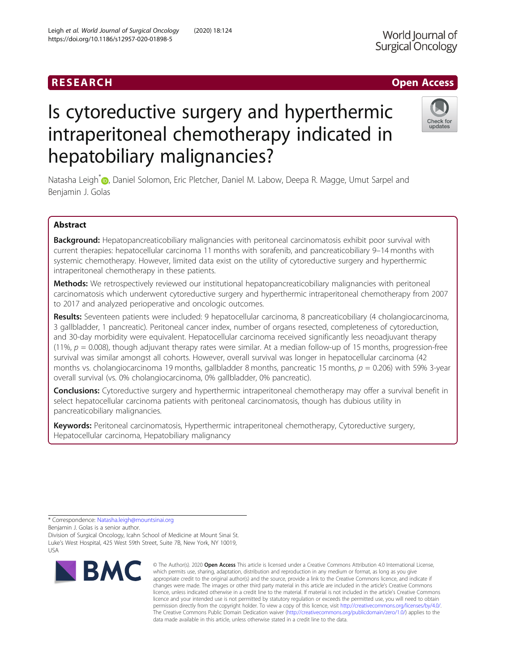# RESEARCH **RESEARCH CHOOSE ACCESS**

# Is cytoreductive surgery and hyperthermic intraperitoneal chemotherapy indicated in hepatobiliary malignancies?

Natasha Leigh<sup>[\\*](http://orcid.org/0000-0002-5691-4114)</sup> <sub>(D</sub>, Daniel Solomon, Eric Pletcher, Daniel M. Labow, Deepa R. Magge, Umut Sarpel and Benjamin J. Golas

# Abstract

Background: Hepatopancreaticobiliary malignancies with peritoneal carcinomatosis exhibit poor survival with current therapies: hepatocellular carcinoma 11 months with sorafenib, and pancreaticobiliary 9–14 months with systemic chemotherapy. However, limited data exist on the utility of cytoreductive surgery and hyperthermic intraperitoneal chemotherapy in these patients.

Methods: We retrospectively reviewed our institutional hepatopancreaticobiliary malignancies with peritoneal carcinomatosis which underwent cytoreductive surgery and hyperthermic intraperitoneal chemotherapy from 2007 to 2017 and analyzed perioperative and oncologic outcomes.

Results: Seventeen patients were included: 9 hepatocellular carcinoma, 8 pancreaticobiliary (4 cholangiocarcinoma, 3 gallbladder, 1 pancreatic). Peritoneal cancer index, number of organs resected, completeness of cytoreduction, and 30-day morbidity were equivalent. Hepatocellular carcinoma received significantly less neoadjuvant therapy (11%,  $p = 0.008$ ), though adjuvant therapy rates were similar. At a median follow-up of 15 months, progression-free survival was similar amongst all cohorts. However, overall survival was longer in hepatocellular carcinoma (42 months vs. cholangiocarcinoma 19 months, gallbladder 8 months, pancreatic 15 months,  $p = 0.206$ ) with 59% 3-year overall survival (vs. 0% cholangiocarcinoma, 0% gallbladder, 0% pancreatic).

**Conclusions:** Cytoreductive surgery and hyperthermic intraperitoneal chemotherapy may offer a survival benefit in select hepatocellular carcinoma patients with peritoneal carcinomatosis, though has dubious utility in pancreaticobiliary malignancies.

Keywords: Peritoneal carcinomatosis, Hyperthermic intraperitoneal chemotherapy, Cytoreductive surgery, Hepatocellular carcinoma, Hepatobiliary malignancy

\* Correspondence: [Natasha.leigh@mountsinai.org](mailto:Natasha.leigh@mountsinai.org)

**BMC** 

© The Author(s). 2020 Open Access This article is licensed under a Creative Commons Attribution 4.0 International License, which permits use, sharing, adaptation, distribution and reproduction in any medium or format, as long as you give appropriate credit to the original author(s) and the source, provide a link to the Creative Commons licence, and indicate if changes were made. The images or other third party material in this article are included in the article's Creative Commons licence, unless indicated otherwise in a credit line to the material. If material is not included in the article's Creative Commons licence and your intended use is not permitted by statutory regulation or exceeds the permitted use, you will need to obtain permission directly from the copyright holder. To view a copy of this licence, visit [http://creativecommons.org/licenses/by/4.0/.](http://creativecommons.org/licenses/by/4.0/) The Creative Commons Public Domain Dedication waiver [\(http://creativecommons.org/publicdomain/zero/1.0/](http://creativecommons.org/publicdomain/zero/1.0/)) applies to the data made available in this article, unless otherwise stated in a credit line to the data.

Benjamin J. Golas is a senior author.







Division of Surgical Oncology, Icahn School of Medicine at Mount Sinai St. Luke's West Hospital, 425 West 59th Street, Suite 7B, New York, NY 10019, USA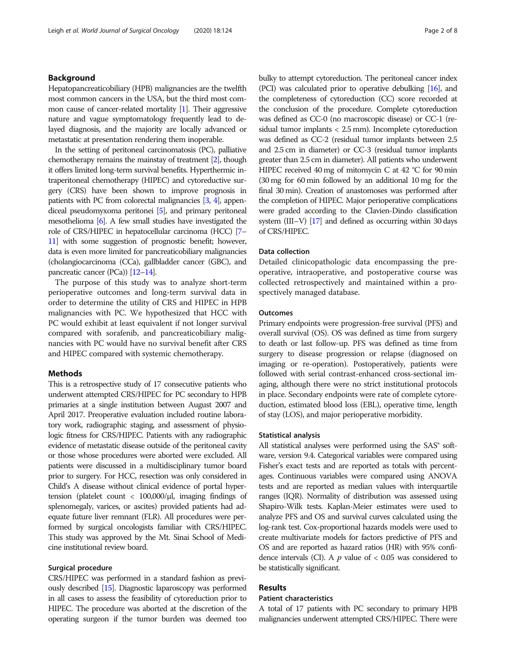# Background

Hepatopancreaticobiliary (HPB) malignancies are the twelfth most common cancers in the USA, but the third most common cause of cancer-related mortality  $[1]$ . Their aggressive nature and vague symptomatology frequently lead to delayed diagnosis, and the majority are locally advanced or metastatic at presentation rendering them inoperable.

In the setting of peritoneal carcinomatosis (PC), palliative chemotherapy remains the mainstay of treatment [\[2\]](#page-6-0), though it offers limited long-term survival benefits. Hyperthermic intraperitoneal chemotherapy (HIPEC) and cytoreductive surgery (CRS) have been shown to improve prognosis in patients with PC from colorectal malignancies [[3](#page-6-0), [4\]](#page-6-0), appendiceal pseudomyxoma peritonei [\[5\]](#page-6-0), and primary peritoneal mesothelioma [[6](#page-6-0)]. A few small studies have investigated the role of CRS/HIPEC in hepatocellular carcinoma (HCC) [\[7](#page-6-0)– [11\]](#page-6-0) with some suggestion of prognostic benefit; however, data is even more limited for pancreaticobiliary malignancies (cholangiocarcinoma (CCa), gallbladder cancer (GBC), and pancreatic cancer (PCa)) [[12](#page-6-0)–[14\]](#page-6-0).

The purpose of this study was to analyze short-term perioperative outcomes and long-term survival data in order to determine the utility of CRS and HIPEC in HPB malignancies with PC. We hypothesized that HCC with PC would exhibit at least equivalent if not longer survival compared with sorafenib, and pancreaticobiliary malignancies with PC would have no survival benefit after CRS and HIPEC compared with systemic chemotherapy.

#### Methods

This is a retrospective study of 17 consecutive patients who underwent attempted CRS/HIPEC for PC secondary to HPB primaries at a single institution between August 2007 and April 2017. Preoperative evaluation included routine laboratory work, radiographic staging, and assessment of physiologic fitness for CRS/HIPEC. Patients with any radiographic evidence of metastatic disease outside of the peritoneal cavity or those whose procedures were aborted were excluded. All patients were discussed in a multidisciplinary tumor board prior to surgery. For HCC, resection was only considered in Child's A disease without clinical evidence of portal hypertension (platelet count < 100,000/μl, imaging findings of splenomegaly, varices, or ascites) provided patients had adequate future liver remnant (FLR). All procedures were performed by surgical oncologists familiar with CRS/HIPEC. This study was approved by the Mt. Sinai School of Medicine institutional review board.

## Surgical procedure

CRS/HIPEC was performed in a standard fashion as previously described [[15\]](#page-6-0). Diagnostic laparoscopy was performed in all cases to assess the feasibility of cytoreduction prior to HIPEC. The procedure was aborted at the discretion of the operating surgeon if the tumor burden was deemed too bulky to attempt cytoreduction. The peritoneal cancer index (PCI) was calculated prior to operative debulking [\[16](#page-6-0)], and the completeness of cytoreduction (CC) score recorded at the conclusion of the procedure. Complete cytoreduction was defined as CC-0 (no macroscopic disease) or CC-1 (residual tumor implants < 2.5 mm). Incomplete cytoreduction was defined as CC-2 (residual tumor implants between 2.5 and 2.5 cm in diameter) or CC-3 (residual tumor implants greater than 2.5 cm in diameter). All patients who underwent HIPEC received 40 mg of mitomycin C at 42 °C for 90 min (30 mg for 60 min followed by an additional 10 mg for the final 30 min). Creation of anastomoses was performed after the completion of HIPEC. Major perioperative complications were graded according to the Clavien-Dindo classification system (III–V) [\[17](#page-6-0)] and defined as occurring within 30 days of CRS/HIPEC.

# Data collection

Detailed clinicopathologic data encompassing the preoperative, intraoperative, and postoperative course was collected retrospectively and maintained within a prospectively managed database.

#### **Outcomes**

Primary endpoints were progression-free survival (PFS) and overall survival (OS). OS was defined as time from surgery to death or last follow-up. PFS was defined as time from surgery to disease progression or relapse (diagnosed on imaging or re-operation). Postoperatively, patients were followed with serial contrast-enhanced cross-sectional imaging, although there were no strict institutional protocols in place. Secondary endpoints were rate of complete cytoreduction, estimated blood loss (EBL), operative time, length of stay (LOS), and major perioperative morbidity.

# Statistical analysis

All statistical analyses were performed using the SAS® software, version 9.4. Categorical variables were compared using Fisher's exact tests and are reported as totals with percentages. Continuous variables were compared using ANOVA tests and are reported as median values with interquartile ranges (IQR). Normality of distribution was assessed using Shapiro-Wilk tests. Kaplan-Meier estimates were used to analyze PFS and OS and survival curves calculated using the log-rank test. Cox-proportional hazards models were used to create multivariate models for factors predictive of PFS and OS and are reported as hazard ratios (HR) with 95% confidence intervals (CI). A  $p$  value of  $< 0.05$  was considered to be statistically significant.

## Results

# Patient characteristics

A total of 17 patients with PC secondary to primary HPB malignancies underwent attempted CRS/HIPEC. There were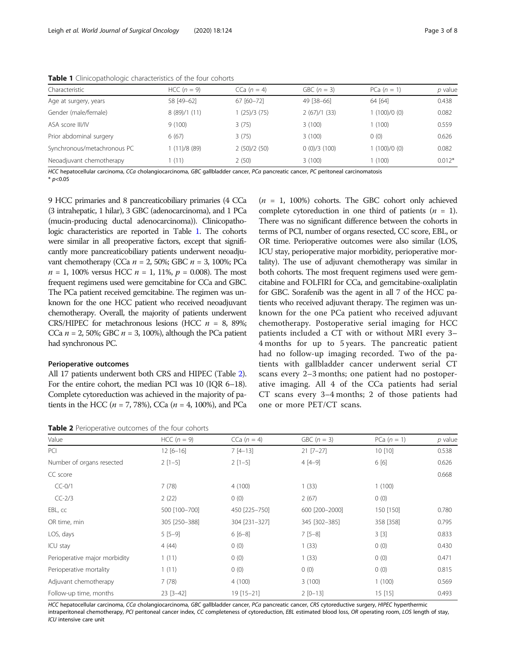| Table 1 Clinicopathologic characteristics of the four cohorts |  |  |  |  |  |  |  |
|---------------------------------------------------------------|--|--|--|--|--|--|--|
|---------------------------------------------------------------|--|--|--|--|--|--|--|

| Characteristic              | HCC $(n = 9)$ | $CCa (n = 4)$ | GBC $(n = 3)$ | PCa $(n = 1)$ | p value  |  |  |  |
|-----------------------------|---------------|---------------|---------------|---------------|----------|--|--|--|
| Age at surgery, years       | 58 [49-62]    | 67 [60-72]    | 49 [38-66]    | 64 [64]       | 0.438    |  |  |  |
| Gender (male/female)        | 8(89)/1(11)   | $(25)/3$ (75) | 2(67)/1(33)   | 1 (100)/0 (0) | 0.082    |  |  |  |
| ASA score III/IV            | 9(100)        | 3(75)         | 3(100)        | 1 (100)       | 0.559    |  |  |  |
| Prior abdominal surgery     | 6(67)         | 3(75)         | 3(100)        | 0(0)          | 0.626    |  |  |  |
| Synchronous/metachronous PC | 1(11)/8(89)   | 2(50)/2(50)   | 0(0)/3(100)   | 1(100)/0(0)   | 0.082    |  |  |  |
| Neoadjuvant chemotherapy    | l (11)        | 2(50)         | 3(100)        | 1(100)        | $0.012*$ |  |  |  |

HCC hepatocellular carcinoma, CCa cholangiocarcinoma, GBC gallbladder cancer, PCa pancreatic cancer, PC peritoneal carcinomatosis  $*$  p<0.05

9 HCC primaries and 8 pancreaticobiliary primaries (4 CCa (3 intrahepatic, 1 hilar), 3 GBC (adenocarcinoma), and 1 PCa (mucin-producing ductal adenocarcinoma)). Clinicopathologic characteristics are reported in Table 1. The cohorts were similar in all preoperative factors, except that significantly more pancreaticobiliary patients underwent neoadjuvant chemotherapy (CCa  $n = 2$ , 50%; GBC  $n = 3$ , 100%; PCa  $n = 1$ , 100% versus HCC  $n = 1$ , 11%,  $p = 0.008$ ). The most frequent regimens used were gemcitabine for CCa and GBC. The PCa patient received gemcitabine. The regimen was unknown for the one HCC patient who received neoadjuvant chemotherapy. Overall, the majority of patients underwent CRS/HIPEC for metachronous lesions (HCC  $n = 8$ , 89%; CCa  $n = 2$ , 50%; GBC  $n = 3$ , 100%), although the PCa patient had synchronous PC.

## Perioperative outcomes

All 17 patients underwent both CRS and HIPEC (Table 2). For the entire cohort, the median PCI was 10 (IQR 6–18). Complete cytoreduction was achieved in the majority of patients in the HCC ( $n = 7, 78\%$ ), CCa ( $n = 4, 100\%$ ), and PCa

Table 2 Perioperative outcomes of the four cohorts

 $(n = 1, 100\%)$  cohorts. The GBC cohort only achieved complete cytoreduction in one third of patients  $(n = 1)$ . There was no significant difference between the cohorts in terms of PCI, number of organs resected, CC score, EBL, or OR time. Perioperative outcomes were also similar (LOS, ICU stay, perioperative major morbidity, perioperative mortality). The use of adjuvant chemotherapy was similar in both cohorts. The most frequent regimens used were gemcitabine and FOLFIRI for CCa, and gemcitabine-oxaliplatin for GBC. Sorafenib was the agent in all 7 of the HCC patients who received adjuvant therapy. The regimen was unknown for the one PCa patient who received adjuvant chemotherapy. Postoperative serial imaging for HCC patients included a CT with or without MRI every 3– 4 months for up to 5 years. The pancreatic patient had no follow-up imaging recorded. Two of the patients with gallbladder cancer underwent serial CT scans every 2–3 months; one patient had no postoperative imaging. All 4 of the CCa patients had serial CT scans every 3–4 months; 2 of those patients had one or more PET/CT scans.

| Value                         | $HCC (n = 9)$ | $CCa (n = 4)$ | GBC $(n = 3)$  | PCa $(n = 1)$ | $p$ value |
|-------------------------------|---------------|---------------|----------------|---------------|-----------|
| PCI                           | $12 [6 - 16]$ | $7[4-13]$     | $21$ [7-27]    | 10[10]        | 0.538     |
| Number of organs resected     | $2[1-5]$      | $2[1-5]$      | $4[4-9]$       | 6 [6]         | 0.626     |
| CC score                      |               |               |                |               | 0.668     |
| $CC-O/1$                      | 7(78)         | 4(100)        | 1(33)          | 1(100)        |           |
| $CC-2/3$                      | 2(22)         | 0(0)          | 2(67)          | 0(0)          |           |
| EBL, cc                       | 500 [100-700] | 450 [225-750] | 600 [200-2000] | 150 [150]     | 0.780     |
| OR time, min                  | 305 [250-388] | 304 [231-327] | 345 [302-385]  | 358 [358]     | 0.795     |
| LOS, days                     | $5[5-9]$      | $6[6-8]$      | $7 [5 - 8]$    | 3[3]          | 0.833     |
| ICU stay                      | 4(44)         | 0(0)          | 1(33)          | 0(0)          | 0.430     |
| Perioperative major morbidity | 1(11)         | 0(0)          | 1(33)          | 0(0)          | 0.471     |
| Perioperative mortality       | 1(11)         | 0(0)          | 0(0)           | 0(0)          | 0.815     |
| Adjuvant chemotherapy         | 7(78)         | 4(100)        | 3(100)         | 1(100)        | 0.569     |
| Follow-up time, months        | $23 [3 - 42]$ | $19$ [15-21]  | $2 [0 - 13]$   | 15 [15]       | 0.493     |

HCC hepatocellular carcinoma, CCa cholangiocarcinoma, GBC gallbladder cancer, PCa pancreatic cancer, CRS cytoreductive surgery, HIPEC hyperthermic intraperitoneal chemotherapy, PCI peritoneal cancer index, CC completeness of cytoreduction, EBL estimated blood loss, OR operating room, LOS length of stay, ICU intensive care unit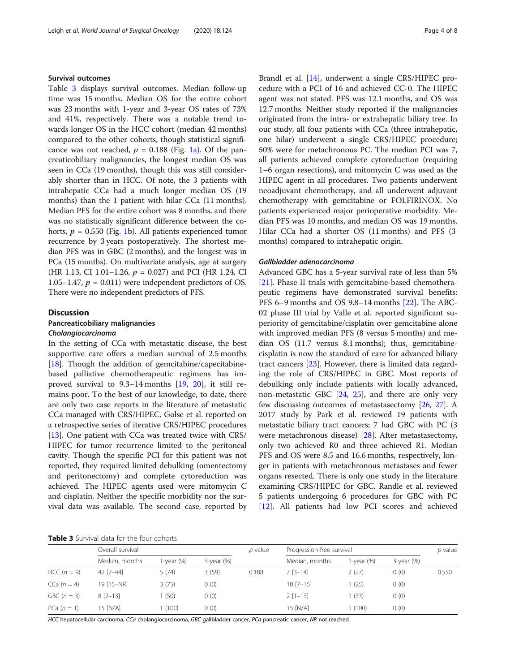# Survival outcomes

Table 3 displays survival outcomes. Median follow-up time was 15 months. Median OS for the entire cohort was 23 months with 1-year and 3-year OS rates of 73% and 41%, respectively. There was a notable trend towards longer OS in the HCC cohort (median 42 months) compared to the other cohorts, though statistical significance was not reached,  $p = 0.188$  (Fig. [1a\)](#page-4-0). Of the pancreaticobiliary malignancies, the longest median OS was seen in CCa (19 months), though this was still considerably shorter than in HCC. Of note, the 3 patients with intrahepatic CCa had a much longer median OS (19 months) than the 1 patient with hilar CCa (11 months). Median PFS for the entire cohort was 8 months, and there was no statistically significant difference between the cohorts,  $p = 0.550$  (Fig. [1b](#page-4-0)). All patients experienced tumor recurrence by 3 years postoperatively. The shortest median PFS was in GBC (2 months), and the longest was in PCa (15 months). On multivariate analysis, age at surgery (HR 1.13, CI 1.01–1.26,  $p = 0.027$ ) and PCI (HR 1.24, CI 1.05–1.47,  $p = 0.011$ ) were independent predictors of OS. There were no independent predictors of PFS.

#### **Discussion**

# Pancreaticobiliary malignancies

# Cholangiocarcinoma

In the setting of CCa with metastatic disease, the best supportive care offers a median survival of 2.5 months [[18\]](#page-6-0). Though the addition of gemcitabine/capecitabinebased palliative chemotherapeutic regimens has improved survival to 9.3–14 months [[19,](#page-6-0) [20](#page-6-0)], it still remains poor. To the best of our knowledge, to date, there are only two case reports in the literature of metastatic CCa managed with CRS/HIPEC. Golse et al. reported on a retrospective series of iterative CRS/HIPEC procedures [[13\]](#page-6-0). One patient with CCa was treated twice with CRS/ HIPEC for tumor recurrence limited to the peritoneal cavity. Though the specific PCI for this patient was not reported, they required limited debulking (omentectomy and peritonectomy) and complete cytoreduction was achieved. The HIPEC agents used were mitomycin C and cisplatin. Neither the specific morbidity nor the survival data was available. The second case, reported by

Brandl et al. [[14\]](#page-6-0), underwent a single CRS/HIPEC procedure with a PCI of 16 and achieved CC-0. The HIPEC agent was not stated. PFS was 12.1 months, and OS was 12.7 months. Neither study reported if the malignancies originated from the intra- or extrahepatic biliary tree. In our study, all four patients with CCa (three intrahepatic, one hilar) underwent a single CRS/HIPEC procedure; 50% were for metachronous PC. The median PCI was 7, all patients achieved complete cytoreduction (requiring 1–6 organ resections), and mitomycin C was used as the HIPEC agent in all procedures. Two patients underwent neoadjuvant chemotherapy, and all underwent adjuvant chemotherapy with gemcitabine or FOLFIRINOX. No patients experienced major perioperative morbidity. Median PFS was 10 months, and median OS was 19 months. Hilar CCa had a shorter OS (11 months) and PFS (3 months) compared to intrahepatic origin.

#### Gallbladder adenocarcinoma

Advanced GBC has a 5-year survival rate of less than 5% [[21\]](#page-6-0). Phase II trials with gemcitabine-based chemotherapeutic regimens have demonstrated survival benefits: PFS 6–9 months and OS 9.8–14 months [\[22](#page-6-0)]. The ABC-02 phase III trial by Valle et al. reported significant superiority of gemcitabine/cisplatin over gemcitabine alone with improved median PFS (8 versus 5 months) and median OS (11.7 versus 8.1 months); thus, gemcitabinecisplatin is now the standard of care for advanced biliary tract cancers [\[23](#page-6-0)]. However, there is limited data regarding the role of CRS/HIPEC in GBC. Most reports of debulking only include patients with locally advanced, non-metastatic GBC [[24,](#page-6-0) [25](#page-6-0)], and there are only very few discussing outcomes of metastasectomy [\[26](#page-6-0), [27](#page-6-0)]. A 2017 study by Park et al. reviewed 19 patients with metastatic biliary tract cancers; 7 had GBC with PC (3 were metachronous disease) [\[28\]](#page-6-0). After metastasectomy, only two achieved R0 and three achieved R1. Median PFS and OS were 8.5 and 16.6 months, respectively, longer in patients with metachronous metastases and fewer organs resected. There is only one study in the literature examining CRS/HIPEC for GBC. Randle et al. reviewed 5 patients undergoing 6 procedures for GBC with PC [[12\]](#page-6-0). All patients had low PCI scores and achieved

Table 3 Survival data for the four cohorts

|               | Overall survival |            | p value         | Progression-free survival |                |            | p value         |       |
|---------------|------------------|------------|-----------------|---------------------------|----------------|------------|-----------------|-------|
|               | Median, months   | 1-year (%) | $3$ -year $(%)$ |                           | Median, months | 1-year (%) | $3$ -year $(%)$ |       |
| HCC $(n = 9)$ | 42 [7-44]        | 5(74)      | 3(59)           | 0.188                     | $7$ [3-14]     | 2(27)      | 0(0)            | 0.550 |
| $CCa (n = 4)$ | 19 [15-NR]       | 3(75)      | 0(0)            |                           | $10 [7 - 15]$  | (25)       | 0(0)            |       |
| GBC $(n = 3)$ | $8$ $[2 - 13]$   | (50)       | 0(0)            |                           | $2$ [1-13]     | (33)       | 0(0)            |       |
| PCa $(n = 1)$ | i5 in/A1         | (100)      | 0(0)            |                           | 15 [N/A]       | (100)      | 0(0)            |       |

HCC hepatocellular carcinoma, CCa cholangiocarcinoma, GBC gallbladder cancer, PCa pancreatic cancer, NR not reached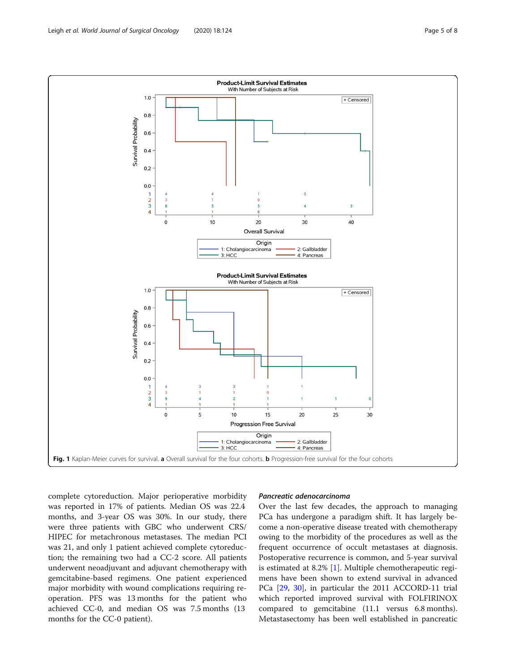<span id="page-4-0"></span>

complete cytoreduction. Major perioperative morbidity was reported in 17% of patients. Median OS was 22.4 months, and 3-year OS was 30%. In our study, there were three patients with GBC who underwent CRS/ HIPEC for metachronous metastases. The median PCI was 21, and only 1 patient achieved complete cytoreduction; the remaining two had a CC-2 score. All patients underwent neoadjuvant and adjuvant chemotherapy with gemcitabine-based regimens. One patient experienced major morbidity with wound complications requiring reoperation. PFS was 13 months for the patient who achieved CC-0, and median OS was 7.5 months (13 months for the CC-0 patient).

#### Pancreatic adenocarcinoma

Over the last few decades, the approach to managing PCa has undergone a paradigm shift. It has largely become a non-operative disease treated with chemotherapy owing to the morbidity of the procedures as well as the frequent occurrence of occult metastases at diagnosis. Postoperative recurrence is common, and 5-year survival is estimated at 8.2% [\[1\]](#page-6-0). Multiple chemotherapeutic regimens have been shown to extend survival in advanced PCa [[29,](#page-7-0) [30](#page-7-0)], in particular the 2011 ACCORD-11 trial which reported improved survival with FOLFIRINOX compared to gemcitabine (11.1 versus 6.8 months). Metastasectomy has been well established in pancreatic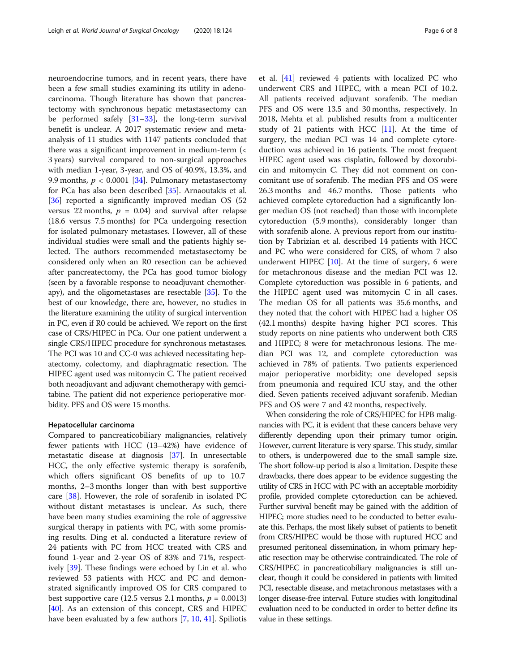neuroendocrine tumors, and in recent years, there have been a few small studies examining its utility in adenocarcinoma. Though literature has shown that pancreatectomy with synchronous hepatic metastasectomy can be performed safely [[31](#page-7-0)–[33](#page-7-0)], the long-term survival benefit is unclear. A 2017 systematic review and metaanalysis of 11 studies with 1147 patients concluded that there was a significant improvement in medium-term (< 3 years) survival compared to non-surgical approaches with median 1-year, 3-year, and OS of 40.9%, 13.3%, and 9.9 months,  $p < 0.0001$  [[34](#page-7-0)]. Pulmonary metastasectomy for PCa has also been described [[35\]](#page-7-0). Arnaoutakis et al. [[36\]](#page-7-0) reported a significantly improved median OS (52) versus 22 months,  $p = 0.04$ ) and survival after relapse (18.6 versus 7.5 months) for PCa undergoing resection for isolated pulmonary metastases. However, all of these individual studies were small and the patients highly selected. The authors recommended metastasectomy be considered only when an R0 resection can be achieved after pancreatectomy, the PCa has good tumor biology (seen by a favorable response to neoadjuvant chemotherapy), and the oligometastases are resectable [[35](#page-7-0)]. To the best of our knowledge, there are, however, no studies in the literature examining the utility of surgical intervention in PC, even if R0 could be achieved. We report on the first case of CRS/HIPEC in PCa. Our one patient underwent a single CRS/HIPEC procedure for synchronous metastases. The PCI was 10 and CC-0 was achieved necessitating hepatectomy, colectomy, and diaphragmatic resection. The HIPEC agent used was mitomycin C. The patient received both neoadjuvant and adjuvant chemotherapy with gemcitabine. The patient did not experience perioperative morbidity. PFS and OS were 15 months.

#### Hepatocellular carcinoma

Compared to pancreaticobiliary malignancies, relatively fewer patients with HCC (13–42%) have evidence of metastatic disease at diagnosis [\[37\]](#page-7-0). In unresectable HCC, the only effective systemic therapy is sorafenib, which offers significant OS benefits of up to 10.7 months, 2–3 months longer than with best supportive care [[38](#page-7-0)]. However, the role of sorafenib in isolated PC without distant metastases is unclear. As such, there have been many studies examining the role of aggressive surgical therapy in patients with PC, with some promising results. Ding et al. conducted a literature review of 24 patients with PC from HCC treated with CRS and found 1-year and 2-year OS of 83% and 71%, respectively [[39\]](#page-7-0). These findings were echoed by Lin et al. who reviewed 53 patients with HCC and PC and demonstrated significantly improved OS for CRS compared to best supportive care (12.5 versus 2.1 months,  $p = 0.0013$ ) [[40\]](#page-7-0). As an extension of this concept, CRS and HIPEC have been evaluated by a few authors [\[7](#page-6-0), [10,](#page-6-0) [41\]](#page-7-0). Spiliotis et al. [[41](#page-7-0)] reviewed 4 patients with localized PC who underwent CRS and HIPEC, with a mean PCI of 10.2. All patients received adjuvant sorafenib. The median PFS and OS were 13.5 and 30 months, respectively. In 2018, Mehta et al. published results from a multicenter study of 21 patients with HCC  $[11]$  $[11]$ . At the time of surgery, the median PCI was 14 and complete cytoreduction was achieved in 16 patients. The most frequent HIPEC agent used was cisplatin, followed by doxorubicin and mitomycin C. They did not comment on concomitant use of sorafenib. The median PFS and OS were 26.3 months and 46.7 months. Those patients who achieved complete cytoreduction had a significantly longer median OS (not reached) than those with incomplete cytoreduction (5.9 months), considerably longer than with sorafenib alone. A previous report from our institution by Tabrizian et al. described 14 patients with HCC and PC who were considered for CRS, of whom 7 also underwent HIPEC  $[10]$  $[10]$  $[10]$ . At the time of surgery, 6 were for metachronous disease and the median PCI was 12. Complete cytoreduction was possible in 6 patients, and the HIPEC agent used was mitomycin C in all cases. The median OS for all patients was 35.6 months, and they noted that the cohort with HIPEC had a higher OS (42.1 months) despite having higher PCI scores. This study reports on nine patients who underwent both CRS and HIPEC; 8 were for metachronous lesions. The median PCI was 12, and complete cytoreduction was achieved in 78% of patients. Two patients experienced major perioperative morbidity; one developed sepsis from pneumonia and required ICU stay, and the other died. Seven patients received adjuvant sorafenib. Median PFS and OS were 7 and 42 months, respectively.

When considering the role of CRS/HIPEC for HPB malignancies with PC, it is evident that these cancers behave very differently depending upon their primary tumor origin. However, current literature is very sparse. This study, similar to others, is underpowered due to the small sample size. The short follow-up period is also a limitation. Despite these drawbacks, there does appear to be evidence suggesting the utility of CRS in HCC with PC with an acceptable morbidity profile, provided complete cytoreduction can be achieved. Further survival benefit may be gained with the addition of HIPEC; more studies need to be conducted to better evaluate this. Perhaps, the most likely subset of patients to benefit from CRS/HIPEC would be those with ruptured HCC and presumed peritoneal dissemination, in whom primary hepatic resection may be otherwise contraindicated. The role of CRS/HIPEC in pancreaticobiliary malignancies is still unclear, though it could be considered in patients with limited PCI, resectable disease, and metachronous metastases with a longer disease-free interval. Future studies with longitudinal evaluation need to be conducted in order to better define its value in these settings.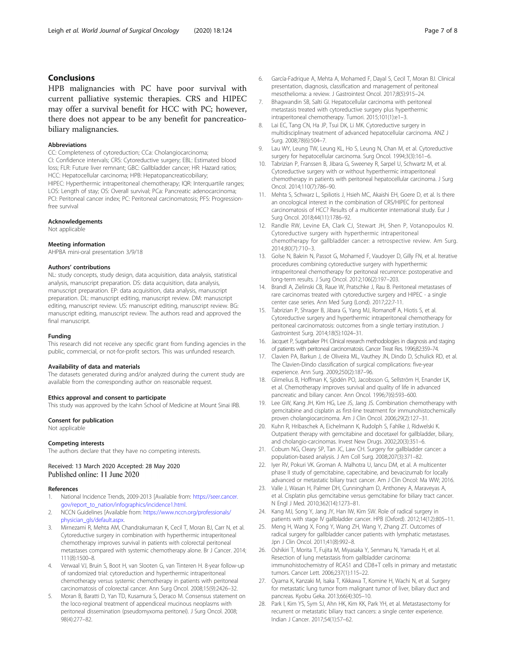# <span id="page-6-0"></span>Conclusions

HPB malignancies with PC have poor survival with current palliative systemic therapies. CRS and HIPEC may offer a survival benefit for HCC with PC; however, there does not appear to be any benefit for pancreaticobiliary malignancies.

#### Abbreviations

CC: Completeness of cytoreduction; CCa: Cholangiocarcinoma; CI: Confidence intervals; CRS: Cytoreductive surgery; EBL: Estimated blood loss; FLR: Future liver remnant; GBC: Gallbladder cancer; HR: Hazard ratios; HCC: Hepatocellular carcinoma; HPB: Hepatopancreaticobiliary; HIPEC: Hyperthermic intraperitoneal chemotherapy; IQR: Interquartile ranges; LOS: Length of stay; OS: Overall survival; PCa: Pancreatic adenocarcinoma; PCI: Peritoneal cancer index; PC: Peritoneal carcinomatosis; PFS: Progressionfree survival

## Acknowledgements

Not applicable

#### Meeting information

AHPBA mini-oral presentation 3/9/18

#### Authors' contributions

NL: study concepts, study design, data acquisition, data analysis, statistical analysis, manuscript preparation. DS: data acquisition, data analysis, manuscript preparation. EP: data acquisition, data analysis, manuscript preparation. DL: manuscript editing, manuscript review. DM: manuscript editing, manuscript review. US: manuscript editing, manuscript review. BG: manuscript editing, manuscript review. The authors read and approved the final manuscript.

#### Funding

This research did not receive any specific grant from funding agencies in the public, commercial, or not-for-profit sectors. This was unfunded research.

#### Availability of data and materials

The datasets generated during and/or analyzed during the current study are available from the corresponding author on reasonable request.

# Ethics approval and consent to participate

This study was approved by the Icahn School of Medicine at Mount Sinai IRB.

#### Consent for publication

Not applicable

#### Competing interests

The authors declare that they have no competing interests.

#### Received: 13 March 2020 Accepted: 28 May 2020 Published online: 11 June 2020

#### References

- 1. National Incidence Trends, 2009-2013 [Available from: [https://seer.cancer.](https://seer.cancer.gov/report_to_nation/infographics/incidence1.html) [gov/report\\_to\\_nation/infographics/incidence1.html.](https://seer.cancer.gov/report_to_nation/infographics/incidence1.html)
- 2. NCCN Guidelines [Available from: [https://www.nccn.org/professionals/](https://www.nccn.org/professionals/physician_gls/default.aspx) [physician\\_gls/default.aspx.](https://www.nccn.org/professionals/physician_gls/default.aspx)
- 3. Mirnezami R, Mehta AM, Chandrakumaran K, Cecil T, Moran BJ, Carr N, et al. Cytoreductive surgery in combination with hyperthermic intraperitoneal chemotherapy improves survival in patients with colorectal peritoneal metastases compared with systemic chemotherapy alone. Br J Cancer. 2014; 111(8):1500–8.
- 4. Verwaal VJ, Bruin S, Boot H, van Slooten G, van Tinteren H. 8-year follow-up of randomized trial: cytoreduction and hyperthermic intraperitoneal chemotherapy versus systemic chemotherapy in patients with peritoneal carcinomatosis of colorectal cancer. Ann Surg Oncol. 2008;15(9):2426–32.
- 5. Moran B, Baratti D, Yan TD, Kusamura S, Deraco M. Consensus statement on the loco-regional treatment of appendiceal mucinous neoplasms with peritoneal dissemination (pseudomyxoma peritonei). J Surg Oncol. 2008; 98(4):277–82.
- 6. García-Fadrique A, Mehta A, Mohamed F, Dayal S, Cecil T, Moran BJ. Clinical presentation, diagnosis, classification and management of peritoneal mesothelioma: a review. J Gastrointest Oncol. 2017;8(5):915–24.
- 7. Bhagwandin SB, Salti GI. Hepatocellular carcinoma with peritoneal metastasis treated with cytoreductive surgery plus hyperthermic intraperitoneal chemotherapy. Tumori. 2015;101(1):e1–3.
- 8. Lai EC, Tang CN, Ha JP, Tsui DK, Li MK. Cytoreductive surgery in multidisciplinary treatment of advanced hepatocellular carcinoma. ANZ J Surg. 2008;78(6):504–7.
- 9. Lau WY, Leung TW, Leung KL, Ho S, Leung N, Chan M, et al. Cytoreductive surgery for hepatocellular carcinoma. Surg Oncol. 1994;3(3):161–6.
- 10. Tabrizian P, Franssen B, Jibara G, Sweeney R, Sarpel U, Schwartz M, et al. Cytoreductive surgery with or without hyperthermic intraperitoneal chemotherapy in patients with peritoneal hepatocellular carcinoma. J Surg Oncol. 2014;110(7):786–90.
- 11. Mehta S, Schwarz L, Spiliotis J, Hsieh MC, Akaishi EH, Goere D, et al. Is there an oncological interest in the combination of CRS/HIPEC for peritoneal carcinomatosis of HCC? Results of a multicenter international study. Eur J Surg Oncol. 2018;44(11):1786–92.
- 12. Randle RW, Levine EA, Clark CJ, Stewart JH, Shen P, Votanopoulos KI. Cytoreductive surgery with hyperthermic intraperitoneal chemotherapy for gallbladder cancer: a retrospective review. Am Surg. 2014;80(7):710–3.
- 13. Golse N, Bakrin N, Passot G, Mohamed F, Vaudoyer D, Gilly FN, et al. Iterative procedures combining cytoreductive surgery with hyperthermic intraperitoneal chemotherapy for peritoneal recurrence: postoperative and long-term results. J Surg Oncol. 2012;106(2):197–203.
- 14. Brandl A, Zielinski CB, Raue W, Pratschke J, Rau B. Peritoneal metastases of rare carcinomas treated with cytoreductive surgery and HIPEC - a single center case series. Ann Med Surg (Lond). 2017;22:7-11.
- 15. Tabrizian P, Shrager B, Jibara G, Yang MJ, Romanoff A, Hiotis S, et al. Cytoreductive surgery and hyperthermic intraperitoneal chemotherapy for peritoneal carcinomatosis: outcomes from a single tertiary institution. J Gastrointest Surg. 2014;18(5):1024–31.
- 16. Jacquet P, Sugarbaker PH. Clinical research methodologies in diagnosis and staging of patients with peritoneal carcinomatosis. Cancer Treat Res. 1996;82:359–74.
- 17. Clavien PA, Barkun J, de Oliveira ML, Vauthey JN, Dindo D, Schulick RD, et al. The Clavien-Dindo classification of surgical complications: five-year experience. Ann Surg. 2009;250(2):187–96.
- 18. Glimelius B, Hoffman K, Sjödén PO, Jacobsson G, Sellström H, Enander LK, et al. Chemotherapy improves survival and quality of life in advanced pancreatic and biliary cancer. Ann Oncol. 1996;7(6):593–600.
- 19. Lee GW, Kang JH, Kim HG, Lee JS, Jang JS. Combination chemotherapy with gemcitabine and cisplatin as first-line treatment for immunohistochemically proven cholangiocarcinoma. Am J Clin Oncol. 2006;29(2):127–31.
- 20. Kuhn R, Hribaschek A, Eichelmann K, Rudolph S, Fahlke J, Ridwelski K. Outpatient therapy with gemcitabine and docetaxel for gallbladder, biliary, and cholangio-carcinomas. Invest New Drugs. 2002;20(3):351–6.
- 21. Coburn NG, Cleary SP, Tan JC, Law CH. Surgery for gallbladder cancer: a population-based analysis. J Am Coll Surg. 2008;207(3):371–82.
- 22. Iyer RV, Pokuri VK. Groman A. Malhotra U, Iancu DM, et al. A multicenter phase II study of gemcitabine, capecitabine, and bevacizumab for locally advanced or metastatic biliary tract cancer. Am J Clin Oncol: Ma WW; 2016.
- 23. Valle J, Wasan H, Palmer DH, Cunningham D, Anthoney A, Maraveyas A, et al. Cisplatin plus gemcitabine versus gemcitabine for biliary tract cancer. N Engl J Med. 2010;362(14):1273–81.
- 24. Kang MJ, Song Y, Jang JY, Han IW, Kim SW. Role of radical surgery in patients with stage IV gallbladder cancer. HPB (Oxford). 2012;14(12):805–11.
- 25. Meng H, Wang X, Fong Y, Wang ZH, Wang Y, Zhang ZT. Outcomes of radical surgery for gallbladder cancer patients with lymphatic metastases. Jpn J Clin Oncol. 2011;41(8):992–8.
- 26. Oshikiri T, Morita T, Fujita M, Miyasaka Y, Senmaru N, Yamada H, et al. Resection of lung metastasis from gallbladder carcinoma: immunohistochemistry of RCAS1 and CD8+T cells in primary and metastatic tumors. Cancer Lett. 2006;237(1):115–22.
- 27. Oyama K, Kanzaki M, Isaka T, Kikkawa T, Komine H, Wachi N, et al. Surgery for metastatic lung tumor from malignant tumor of liver, biliary duct and pancreas. Kyobu Geka. 2013;66(4):305–10.
- 28. Park I, Kim YS, Sym SJ, Ahn HK, Kim KK, Park YH, et al. Metastasectomy for recurrent or metastatic biliary tract cancers: a single center experience. Indian J Cancer. 2017;54(1):57–62.